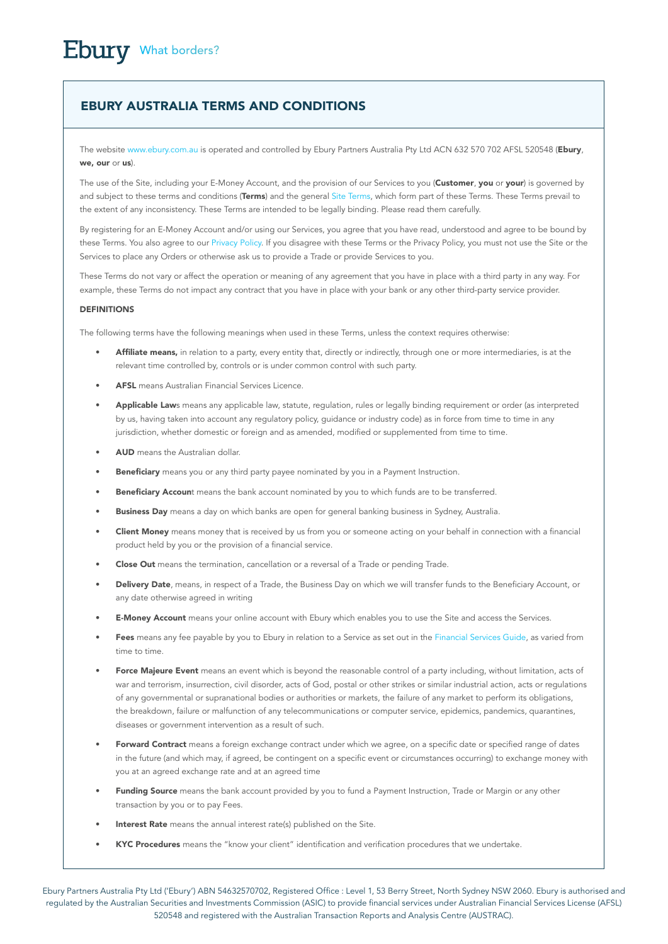# EBURY AUSTRALIA TERMS AND CONDITIONS

The website www.ebury.com.au is operated and controlled by Ebury Partners Australia Pty Ltd ACN 632 570 702 AFSL 520548 (Ebury, we, our or us).

The use of the Site, including your E-Money Account, and the provision of our Services to you (Customer, you or your) is governed by and subject to these terms and conditions (Terms) and the general Site Terms, which form part of these Terms. These Terms prevail to the extent of any inconsistency. These Terms are intended to be legally binding. Please read them carefully.

By registering for an E-Money Account and/or using our Services, you agree that you have read, understood and agree to be bound by these Terms. You also agree to our Privacy Policy. If you disagree with these Terms or the Privacy Policy, you must not use the Site or the Services to place any Orders or otherwise ask us to provide a Trade or provide Services to you.

These Terms do not vary or affect the operation or meaning of any agreement that you have in place with a third party in any way. For example, these Terms do not impact any contract that you have in place with your bank or any other third-party service provider.

# DEFINITIONS

The following terms have the following meanings when used in these Terms, unless the context requires otherwise:

- Affiliate means, in relation to a party, every entity that, directly or indirectly, through one or more intermediaries, is at the relevant time controlled by, controls or is under common control with such party.
- AFSL means Australian Financial Services Licence.
- Applicable Laws means any applicable law, statute, regulation, rules or legally binding requirement or order (as interpreted by us, having taken into account any regulatory policy, guidance or industry code) as in force from time to time in any jurisdiction, whether domestic or foreign and as amended, modified or supplemented from time to time.
- AUD means the Australian dollar.
- **Beneficiary** means you or any third party payee nominated by you in a Payment Instruction.
- Beneficiary Account means the bank account nominated by you to which funds are to be transferred.
- **Business Day** means a day on which banks are open for general banking business in Sydney, Australia.
- Client Money means money that is received by us from you or someone acting on your behalf in connection with a financial product held by you or the provision of a financial service.
- Close Out means the termination, cancellation or a reversal of a Trade or pending Trade.
- Delivery Date, means, in respect of a Trade, the Business Day on which we will transfer funds to the Beneficiary Account, or any date otherwise agreed in writing
- **E-Money Account** means your online account with Ebury which enables you to use the Site and access the Services.
- Fees means any fee payable by you to Ebury in relation to a Service as set out in the Financial Services Guide, as varied from time to time.
- Force Majeure Event means an event which is beyond the reasonable control of a party including, without limitation, acts of war and terrorism, insurrection, civil disorder, acts of God, postal or other strikes or similar industrial action, acts or regulations of any governmental or supranational bodies or authorities or markets, the failure of any market to perform its obligations, the breakdown, failure or malfunction of any telecommunications or computer service, epidemics, pandemics, quarantines, diseases or government intervention as a result of such.
- Forward Contract means a foreign exchange contract under which we agree, on a specific date or specified range of dates in the future (and which may, if agreed, be contingent on a specific event or circumstances occurring) to exchange money with you at an agreed exchange rate and at an agreed time
- Funding Source means the bank account provided by you to fund a Payment Instruction, Trade or Margin or any other transaction by you or to pay Fees.
- Interest Rate means the annual interest rate(s) published on the Site.
- KYC Procedures means the "know your client" identification and verification procedures that we undertake.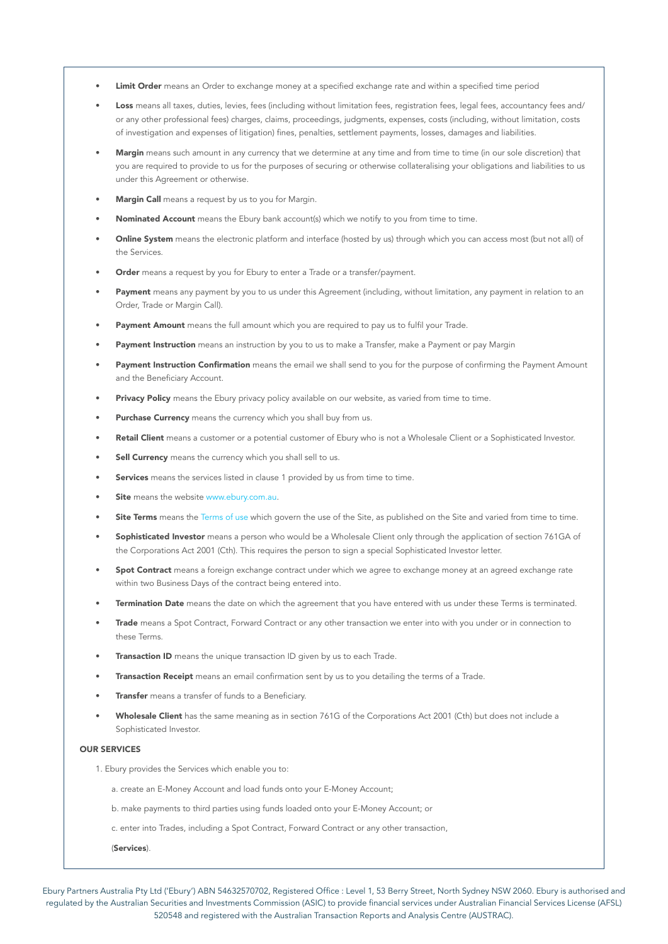- Limit Order means an Order to exchange money at a specified exchange rate and within a specified time period
- Loss means all taxes, duties, levies, fees (including without limitation fees, registration fees, legal fees, accountancy fees and/ or any other professional fees) charges, claims, proceedings, judgments, expenses, costs (including, without limitation, costs of investigation and expenses of litigation) fines, penalties, settlement payments, losses, damages and liabilities.
- Margin means such amount in any currency that we determine at any time and from time to time (in our sole discretion) that you are required to provide to us for the purposes of securing or otherwise collateralising your obligations and liabilities to us under this Agreement or otherwise.
- Margin Call means a request by us to you for Margin.
- Nominated Account means the Ebury bank account(s) which we notify to you from time to time.
- Online System means the electronic platform and interface (hosted by us) through which you can access most (but not all) of the Services.
- Order means a request by you for Ebury to enter a Trade or a transfer/payment.
- Payment means any payment by you to us under this Agreement (including, without limitation, any payment in relation to an Order, Trade or Margin Call).
- Payment Amount means the full amount which you are required to pay us to fulfil your Trade.
- Payment Instruction means an instruction by you to us to make a Transfer, make a Payment or pay Margin
- Payment Instruction Confirmation means the email we shall send to you for the purpose of confirming the Payment Amount and the Beneficiary Account.
- Privacy Policy means the Ebury privacy policy available on our website, as varied from time to time.
- Purchase Currency means the currency which you shall buy from us.
- Retail Client means a customer or a potential customer of Ebury who is not a Wholesale Client or a Sophisticated Investor.
- Sell Currency means the currency which you shall sell to us.
- Services means the services listed in clause 1 provided by us from time to time.
- Site means the website www.ebury.com.au.
- Site Terms means the Terms of use which govern the use of the Site, as published on the Site and varied from time to time.
- Sophisticated Investor means a person who would be a Wholesale Client only through the application of section 761GA of the Corporations Act 2001 (Cth). This requires the person to sign a special Sophisticated Investor letter.
- Spot Contract means a foreign exchange contract under which we agree to exchange money at an agreed exchange rate within two Business Days of the contract being entered into.
- Termination Date means the date on which the agreement that you have entered with us under these Terms is terminated.
- Trade means a Spot Contract, Forward Contract or any other transaction we enter into with you under or in connection to these Terms.
- **Transaction ID** means the unique transaction ID given by us to each Trade.
- Transaction Receipt means an email confirmation sent by us to you detailing the terms of a Trade.
- Transfer means a transfer of funds to a Beneficiary.
- Wholesale Client has the same meaning as in section 761G of the Corporations Act 2001 (Cth) but does not include a Sophisticated Investor.

#### OUR SERVICES

- 1. Ebury provides the Services which enable you to:
	- a. create an E-Money Account and load funds onto your E-Money Account;
	- b. make payments to third parties using funds loaded onto your E-Money Account; or
	- c. enter into Trades, including a Spot Contract, Forward Contract or any other transaction,
	- (Services).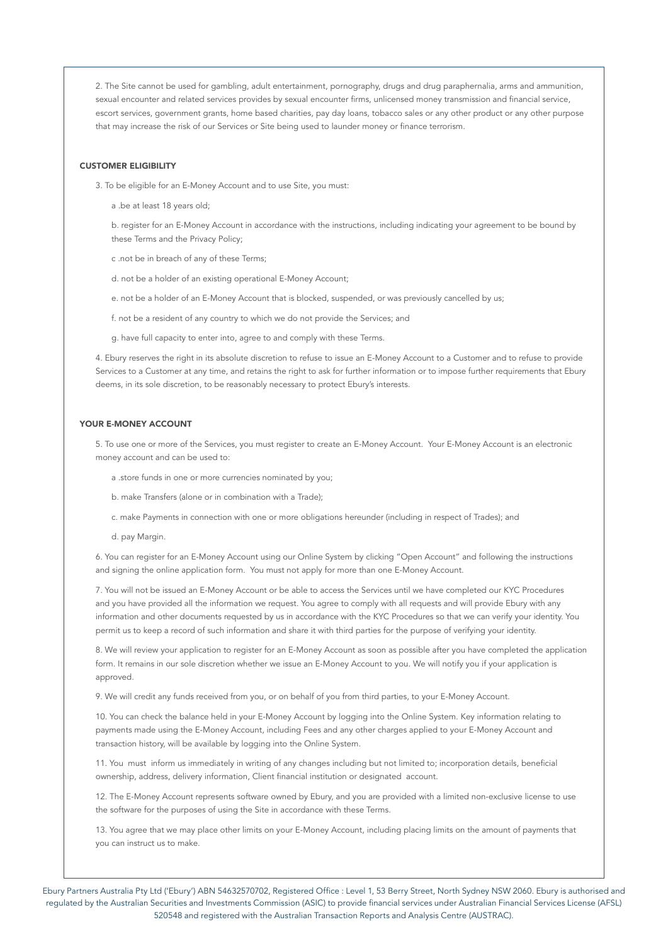2. The Site cannot be used for gambling, adult entertainment, pornography, drugs and drug paraphernalia, arms and ammunition, sexual encounter and related services provides by sexual encounter firms, unlicensed money transmission and financial service, escort services, government grants, home based charities, pay day loans, tobacco sales or any other product or any other purpose that may increase the risk of our Services or Site being used to launder money or finance terrorism.

### CUSTOMER ELIGIBILITY

3. To be eligible for an E-Money Account and to use Site, you must:

a .be at least 18 years old;

b. register for an E-Money Account in accordance with the instructions, including indicating your agreement to be bound by these Terms and the Privacy Policy;

c .not be in breach of any of these Terms;

d. not be a holder of an existing operational E-Money Account;

e. not be a holder of an E-Money Account that is blocked, suspended, or was previously cancelled by us;

f. not be a resident of any country to which we do not provide the Services; and

g. have full capacity to enter into, agree to and comply with these Terms.

4. Ebury reserves the right in its absolute discretion to refuse to issue an E-Money Account to a Customer and to refuse to provide Services to a Customer at any time, and retains the right to ask for further information or to impose further requirements that Ebury deems, in its sole discretion, to be reasonably necessary to protect Ebury's interests.

### YOUR E-MONEY ACCOUNT

5. To use one or more of the Services, you must register to create an E-Money Account. Your E-Money Account is an electronic money account and can be used to:

a .store funds in one or more currencies nominated by you;

b. make Transfers (alone or in combination with a Trade);

c. make Payments in connection with one or more obligations hereunder (including in respect of Trades); and

d. pay Margin.

6. You can register for an E-Money Account using our Online System by clicking "Open Account" and following the instructions and signing the online application form. You must not apply for more than one E-Money Account.

7. You will not be issued an E-Money Account or be able to access the Services until we have completed our KYC Procedures and you have provided all the information we request. You agree to comply with all requests and will provide Ebury with any information and other documents requested by us in accordance with the KYC Procedures so that we can verify your identity. You permit us to keep a record of such information and share it with third parties for the purpose of verifying your identity.

8. We will review your application to register for an E-Money Account as soon as possible after you have completed the application form. It remains in our sole discretion whether we issue an E-Money Account to you. We will notify you if your application is approved.

9. We will credit any funds received from you, or on behalf of you from third parties, to your E-Money Account.

10. You can check the balance held in your E-Money Account by logging into the Online System. Key information relating to payments made using the E-Money Account, including Fees and any other charges applied to your E-Money Account and transaction history, will be available by logging into the Online System.

11. You must inform us immediately in writing of any changes including but not limited to; incorporation details, beneficial ownership, address, delivery information, Client financial institution or designated account.

12. The E-Money Account represents software owned by Ebury, and you are provided with a limited non-exclusive license to use the software for the purposes of using the Site in accordance with these Terms.

13. You agree that we may place other limits on your E-Money Account, including placing limits on the amount of payments that you can instruct us to make.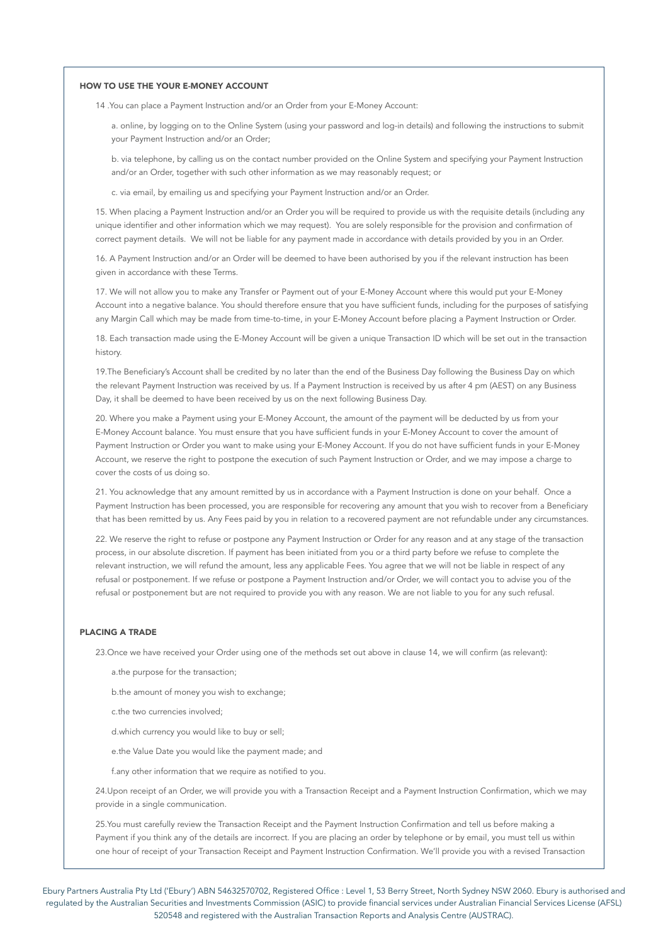### HOW TO USE THE YOUR E-MONEY ACCOUNT

14 .You can place a Payment Instruction and/or an Order from your E-Money Account:

a. online, by logging on to the Online System (using your password and log-in details) and following the instructions to submit your Payment Instruction and/or an Order;

b. via telephone, by calling us on the contact number provided on the Online System and specifying your Payment Instruction and/or an Order, together with such other information as we may reasonably request; or

c. via email, by emailing us and specifying your Payment Instruction and/or an Order.

15. When placing a Payment Instruction and/or an Order you will be required to provide us with the requisite details (including any unique identifier and other information which we may request). You are solely responsible for the provision and confirmation of correct payment details. We will not be liable for any payment made in accordance with details provided by you in an Order.

16. A Payment Instruction and/or an Order will be deemed to have been authorised by you if the relevant instruction has been given in accordance with these Terms.

17. We will not allow you to make any Transfer or Payment out of your E-Money Account where this would put your E-Money Account into a negative balance. You should therefore ensure that you have sufficient funds, including for the purposes of satisfying any Margin Call which may be made from time-to-time, in your E-Money Account before placing a Payment Instruction or Order.

18. Each transaction made using the E-Money Account will be given a unique Transaction ID which will be set out in the transaction history.

19.The Beneficiary's Account shall be credited by no later than the end of the Business Day following the Business Day on which the relevant Payment Instruction was received by us. If a Payment Instruction is received by us after 4 pm (AEST) on any Business Day, it shall be deemed to have been received by us on the next following Business Day.

20. Where you make a Payment using your E-Money Account, the amount of the payment will be deducted by us from your E-Money Account balance. You must ensure that you have sufficient funds in your E-Money Account to cover the amount of Payment Instruction or Order you want to make using your E-Money Account. If you do not have sufficient funds in your E-Money Account, we reserve the right to postpone the execution of such Payment Instruction or Order, and we may impose a charge to cover the costs of us doing so.

21. You acknowledge that any amount remitted by us in accordance with a Payment Instruction is done on your behalf. Once a Payment Instruction has been processed, you are responsible for recovering any amount that you wish to recover from a Beneficiary that has been remitted by us. Any Fees paid by you in relation to a recovered payment are not refundable under any circumstances.

22. We reserve the right to refuse or postpone any Payment Instruction or Order for any reason and at any stage of the transaction process, in our absolute discretion. If payment has been initiated from you or a third party before we refuse to complete the relevant instruction, we will refund the amount, less any applicable Fees. You agree that we will not be liable in respect of any refusal or postponement. If we refuse or postpone a Payment Instruction and/or Order, we will contact you to advise you of the refusal or postponement but are not required to provide you with any reason. We are not liable to you for any such refusal.

# PLACING A TRADE

23.Once we have received your Order using one of the methods set out above in clause 14, we will confirm (as relevant):

a.the purpose for the transaction;

b.the amount of money you wish to exchange;

c.the two currencies involved;

d.which currency you would like to buy or sell;

e.the Value Date you would like the payment made; and

f.any other information that we require as notified to you.

24.Upon receipt of an Order, we will provide you with a Transaction Receipt and a Payment Instruction Confirmation, which we may provide in a single communication.

25.You must carefully review the Transaction Receipt and the Payment Instruction Confirmation and tell us before making a Payment if you think any of the details are incorrect. If you are placing an order by telephone or by email, you must tell us within one hour of receipt of your Transaction Receipt and Payment Instruction Confirmation. We'll provide you with a revised Transaction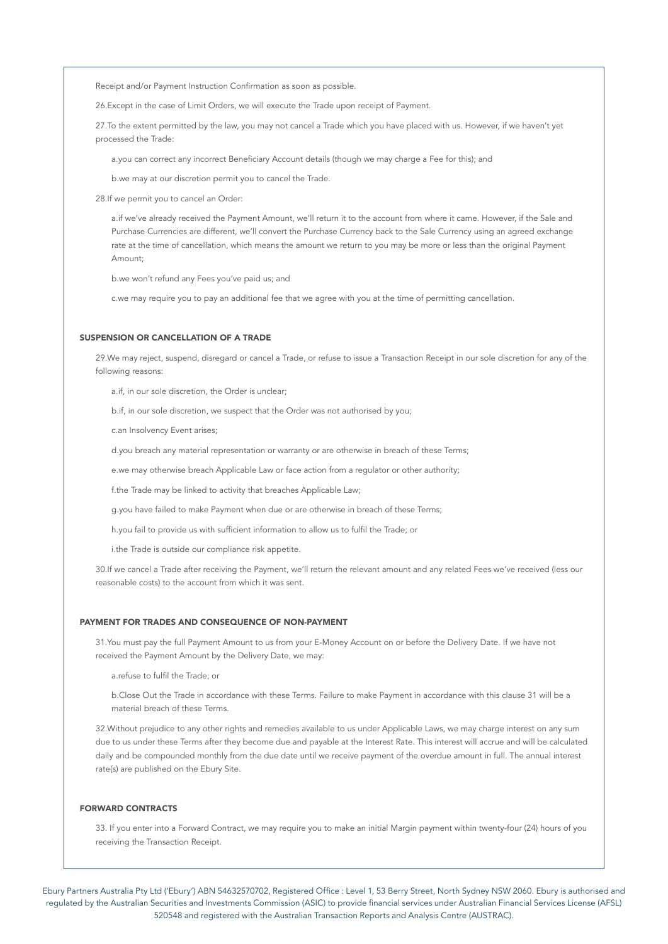Receipt and/or Payment Instruction Confirmation as soon as possible.

26.Except in the case of Limit Orders, we will execute the Trade upon receipt of Payment.

27.To the extent permitted by the law, you may not cancel a Trade which you have placed with us. However, if we haven't yet processed the Trade:

a.you can correct any incorrect Beneficiary Account details (though we may charge a Fee for this); and

b.we may at our discretion permit you to cancel the Trade.

28.If we permit you to cancel an Order:

a.if we've already received the Payment Amount, we'll return it to the account from where it came. However, if the Sale and Purchase Currencies are different, we'll convert the Purchase Currency back to the Sale Currency using an agreed exchange rate at the time of cancellation, which means the amount we return to you may be more or less than the original Payment Amount;

b.we won't refund any Fees you've paid us; and

c.we may require you to pay an additional fee that we agree with you at the time of permitting cancellation.

# SUSPENSION OR CANCELLATION OF A TRADE

29.We may reject, suspend, disregard or cancel a Trade, or refuse to issue a Transaction Receipt in our sole discretion for any of the following reasons:

a.if, in our sole discretion, the Order is unclear;

b.if, in our sole discretion, we suspect that the Order was not authorised by you;

c.an Insolvency Event arises;

d.you breach any material representation or warranty or are otherwise in breach of these Terms;

e.we may otherwise breach Applicable Law or face action from a regulator or other authority;

f.the Trade may be linked to activity that breaches Applicable Law;

g.you have failed to make Payment when due or are otherwise in breach of these Terms;

h.you fail to provide us with sufficient information to allow us to fulfil the Trade; or

i.the Trade is outside our compliance risk appetite.

30.If we cancel a Trade after receiving the Payment, we'll return the relevant amount and any related Fees we've received (less our reasonable costs) to the account from which it was sent.

### PAYMENT FOR TRADES AND CONSEQUENCE OF NON-PAYMENT

31.You must pay the full Payment Amount to us from your E-Money Account on or before the Delivery Date. If we have not received the Payment Amount by the Delivery Date, we may:

a.refuse to fulfil the Trade; or

b.Close Out the Trade in accordance with these Terms. Failure to make Payment in accordance with this clause 31 will be a material breach of these Terms.

32.Without prejudice to any other rights and remedies available to us under Applicable Laws, we may charge interest on any sum due to us under these Terms after they become due and payable at the Interest Rate. This interest will accrue and will be calculated daily and be compounded monthly from the due date until we receive payment of the overdue amount in full. The annual interest rate(s) are published on the Ebury Site.

### FORWARD CONTRACTS

33. If you enter into a Forward Contract, we may require you to make an initial Margin payment within twenty-four (24) hours of you receiving the Transaction Receipt.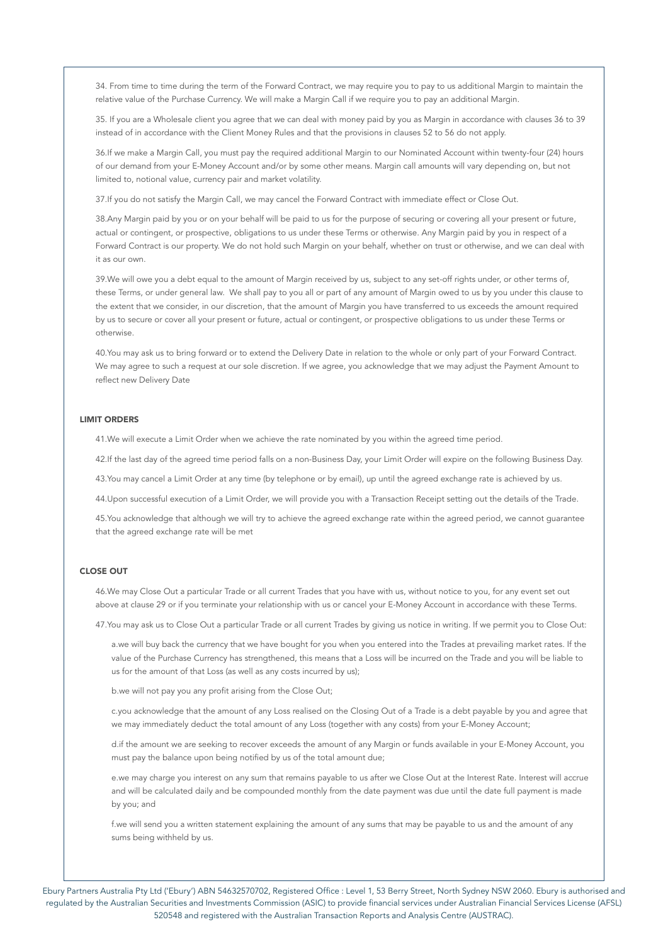34. From time to time during the term of the Forward Contract, we may require you to pay to us additional Margin to maintain the relative value of the Purchase Currency. We will make a Margin Call if we require you to pay an additional Margin.

35. If you are a Wholesale client you agree that we can deal with money paid by you as Margin in accordance with clauses 36 to 39 instead of in accordance with the Client Money Rules and that the provisions in clauses 52 to 56 do not apply.

36.If we make a Margin Call, you must pay the required additional Margin to our Nominated Account within twenty-four (24) hours of our demand from your E-Money Account and/or by some other means. Margin call amounts will vary depending on, but not limited to, notional value, currency pair and market volatility.

37.If you do not satisfy the Margin Call, we may cancel the Forward Contract with immediate effect or Close Out.

38.Any Margin paid by you or on your behalf will be paid to us for the purpose of securing or covering all your present or future, actual or contingent, or prospective, obligations to us under these Terms or otherwise. Any Margin paid by you in respect of a Forward Contract is our property. We do not hold such Margin on your behalf, whether on trust or otherwise, and we can deal with it as our own.

39.We will owe you a debt equal to the amount of Margin received by us, subject to any set-off rights under, or other terms of, these Terms, or under general law. We shall pay to you all or part of any amount of Margin owed to us by you under this clause to the extent that we consider, in our discretion, that the amount of Margin you have transferred to us exceeds the amount required by us to secure or cover all your present or future, actual or contingent, or prospective obligations to us under these Terms or otherwise.

40.You may ask us to bring forward or to extend the Delivery Date in relation to the whole or only part of your Forward Contract. We may agree to such a request at our sole discretion. If we agree, you acknowledge that we may adjust the Payment Amount to reflect new Delivery Date

#### LIMIT ORDERS

41.We will execute a Limit Order when we achieve the rate nominated by you within the agreed time period.

42.If the last day of the agreed time period falls on a non-Business Day, your Limit Order will expire on the following Business Day.

43.You may cancel a Limit Order at any time (by telephone or by email), up until the agreed exchange rate is achieved by us.

44.Upon successful execution of a Limit Order, we will provide you with a Transaction Receipt setting out the details of the Trade.

45.You acknowledge that although we will try to achieve the agreed exchange rate within the agreed period, we cannot guarantee that the agreed exchange rate will be met

### CLOSE OUT

46.We may Close Out a particular Trade or all current Trades that you have with us, without notice to you, for any event set out above at clause 29 or if you terminate your relationship with us or cancel your E-Money Account in accordance with these Terms.

47.You may ask us to Close Out a particular Trade or all current Trades by giving us notice in writing. If we permit you to Close Out:

a.we will buy back the currency that we have bought for you when you entered into the Trades at prevailing market rates. If the value of the Purchase Currency has strengthened, this means that a Loss will be incurred on the Trade and you will be liable to us for the amount of that Loss (as well as any costs incurred by us);

b.we will not pay you any profit arising from the Close Out;

c.you acknowledge that the amount of any Loss realised on the Closing Out of a Trade is a debt payable by you and agree that we may immediately deduct the total amount of any Loss (together with any costs) from your E-Money Account;

d.if the amount we are seeking to recover exceeds the amount of any Margin or funds available in your E-Money Account, you must pay the balance upon being notified by us of the total amount due;

e.we may charge you interest on any sum that remains payable to us after we Close Out at the Interest Rate. Interest will accrue and will be calculated daily and be compounded monthly from the date payment was due until the date full payment is made by you; and

f.we will send you a written statement explaining the amount of any sums that may be payable to us and the amount of any sums being withheld by us.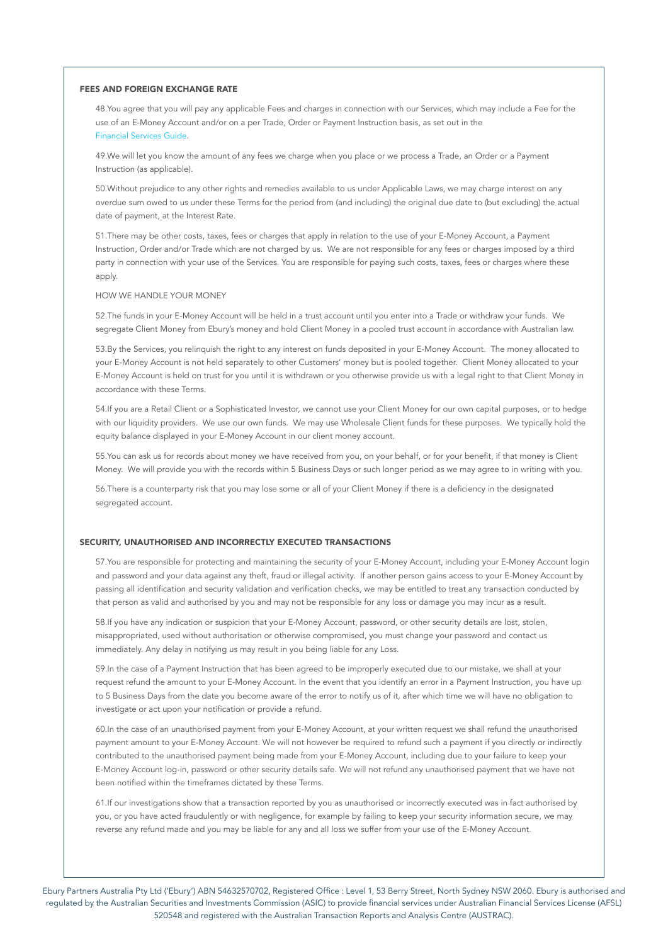#### FEES AND FOREIGN EXCHANGE RATE

48.You agree that you will pay any applicable Fees and charges in connection with our Services, which may include a Fee for the use of an E-Money Account and/or on a per Trade, Order or Payment Instruction basis, as set out in the Financial Services Guide.

49.We will let you know the amount of any fees we charge when you place or we process a Trade, an Order or a Payment Instruction (as applicable).

50.Without prejudice to any other rights and remedies available to us under Applicable Laws, we may charge interest on any overdue sum owed to us under these Terms for the period from (and including) the original due date to (but excluding) the actual date of payment, at the Interest Rate.

51.There may be other costs, taxes, fees or charges that apply in relation to the use of your E-Money Account, a Payment Instruction, Order and/or Trade which are not charged by us. We are not responsible for any fees or charges imposed by a third party in connection with your use of the Services. You are responsible for paying such costs, taxes, fees or charges where these apply.

#### HOW WE HANDLE YOUR MONEY

52.The funds in your E-Money Account will be held in a trust account until you enter into a Trade or withdraw your funds. We segregate Client Money from Ebury's money and hold Client Money in a pooled trust account in accordance with Australian law.

53.By the Services, you relinquish the right to any interest on funds deposited in your E-Money Account. The money allocated to your E-Money Account is not held separately to other Customers' money but is pooled together. Client Money allocated to your E-Money Account is held on trust for you until it is withdrawn or you otherwise provide us with a legal right to that Client Money in accordance with these Terms.

54.If you are a Retail Client or a Sophisticated Investor, we cannot use your Client Money for our own capital purposes, or to hedge with our liquidity providers. We use our own funds. We may use Wholesale Client funds for these purposes. We typically hold the equity balance displayed in your E-Money Account in our client money account.

55.You can ask us for records about money we have received from you, on your behalf, or for your benefit, if that money is Client Money. We will provide you with the records within 5 Business Days or such longer period as we may agree to in writing with you.

56.There is a counterparty risk that you may lose some or all of your Client Money if there is a deficiency in the designated segregated account.

### SECURITY, UNAUTHORISED AND INCORRECTLY EXECUTED TRANSACTIONS

57.You are responsible for protecting and maintaining the security of your E-Money Account, including your E-Money Account login and password and your data against any theft, fraud or illegal activity. If another person gains access to your E-Money Account by passing all identification and security validation and verification checks, we may be entitled to treat any transaction conducted by that person as valid and authorised by you and may not be responsible for any loss or damage you may incur as a result.

58.If you have any indication or suspicion that your E-Money Account, password, or other security details are lost, stolen, misappropriated, used without authorisation or otherwise compromised, you must change your password and contact us immediately. Any delay in notifying us may result in you being liable for any Loss.

59.In the case of a Payment Instruction that has been agreed to be improperly executed due to our mistake, we shall at your request refund the amount to your E-Money Account. In the event that you identify an error in a Payment Instruction, you have up to 5 Business Days from the date you become aware of the error to notify us of it, after which time we will have no obligation to investigate or act upon your notification or provide a refund.

60.In the case of an unauthorised payment from your E-Money Account, at your written request we shall refund the unauthorised payment amount to your E-Money Account. We will not however be required to refund such a payment if you directly or indirectly contributed to the unauthorised payment being made from your E-Money Account, including due to your failure to keep your E-Money Account log-in, password or other security details safe. We will not refund any unauthorised payment that we have not been notified within the timeframes dictated by these Terms.

61.If our investigations show that a transaction reported by you as unauthorised or incorrectly executed was in fact authorised by you, or you have acted fraudulently or with negligence, for example by failing to keep your security information secure, we may reverse any refund made and you may be liable for any and all loss we suffer from your use of the E-Money Account.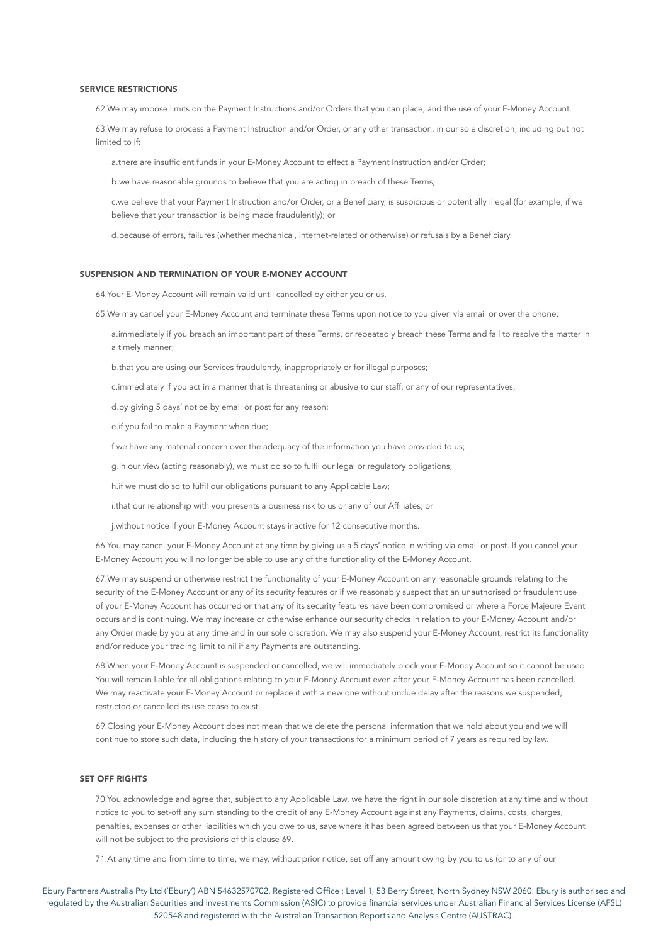#### SERVICE RESTRICTIONS

62.We may impose limits on the Payment Instructions and/or Orders that you can place, and the use of your E-Money Account.

63.We may refuse to process a Payment Instruction and/or Order, or any other transaction, in our sole discretion, including but not limited to if:

a.there are insufficient funds in your E-Money Account to effect a Payment Instruction and/or Order;

b.we have reasonable grounds to believe that you are acting in breach of these Terms;

c.we believe that your Payment Instruction and/or Order, or a Beneficiary, is suspicious or potentially illegal (for example, if we believe that your transaction is being made fraudulently); or

d.because of errors, failures (whether mechanical, internet-related or otherwise) or refusals by a Beneficiary.

### SUSPENSION AND TERMINATION OF YOUR E-MONEY ACCOUNT

64.Your E-Money Account will remain valid until cancelled by either you or us.

65.We may cancel your E-Money Account and terminate these Terms upon notice to you given via email or over the phone:

a.immediately if you breach an important part of these Terms, or repeatedly breach these Terms and fail to resolve the matter in a timely manner;

b.that you are using our Services fraudulently, inappropriately or for illegal purposes;

c.immediately if you act in a manner that is threatening or abusive to our staff, or any of our representatives;

d.by giving 5 days' notice by email or post for any reason;

e.if you fail to make a Payment when due;

f.we have any material concern over the adequacy of the information you have provided to us;

g.in our view (acting reasonably), we must do so to fulfil our legal or regulatory obligations;

h.if we must do so to fulfil our obligations pursuant to any Applicable Law;

i.that our relationship with you presents a business risk to us or any of our Affiliates; or

j.without notice if your E-Money Account stays inactive for 12 consecutive months.

66.You may cancel your E-Money Account at any time by giving us a 5 days' notice in writing via email or post. If you cancel your E-Money Account you will no longer be able to use any of the functionality of the E-Money Account.

67.We may suspend or otherwise restrict the functionality of your E-Money Account on any reasonable grounds relating to the security of the E-Money Account or any of its security features or if we reasonably suspect that an unauthorised or fraudulent use of your E-Money Account has occurred or that any of its security features have been compromised or where a Force Majeure Event occurs and is continuing. We may increase or otherwise enhance our security checks in relation to your E-Money Account and/or any Order made by you at any time and in our sole discretion. We may also suspend your E-Money Account, restrict its functionality and/or reduce your trading limit to nil if any Payments are outstanding.

68.When your E-Money Account is suspended or cancelled, we will immediately block your E-Money Account so it cannot be used. You will remain liable for all obligations relating to your E-Money Account even after your E-Money Account has been cancelled. We may reactivate your E-Money Account or replace it with a new one without undue delay after the reasons we suspended, restricted or cancelled its use cease to exist.

69.Closing your E-Money Account does not mean that we delete the personal information that we hold about you and we will continue to store such data, including the history of your transactions for a minimum period of 7 years as required by law.

### SET OFF RIGHTS

70.You acknowledge and agree that, subject to any Applicable Law, we have the right in our sole discretion at any time and without notice to you to set-off any sum standing to the credit of any E-Money Account against any Payments, claims, costs, charges, penalties, expenses or other liabilities which you owe to us, save where it has been agreed between us that your E-Money Account will not be subject to the provisions of this clause 69.

71.At any time and from time to time, we may, without prior notice, set off any amount owing by you to us (or to any of our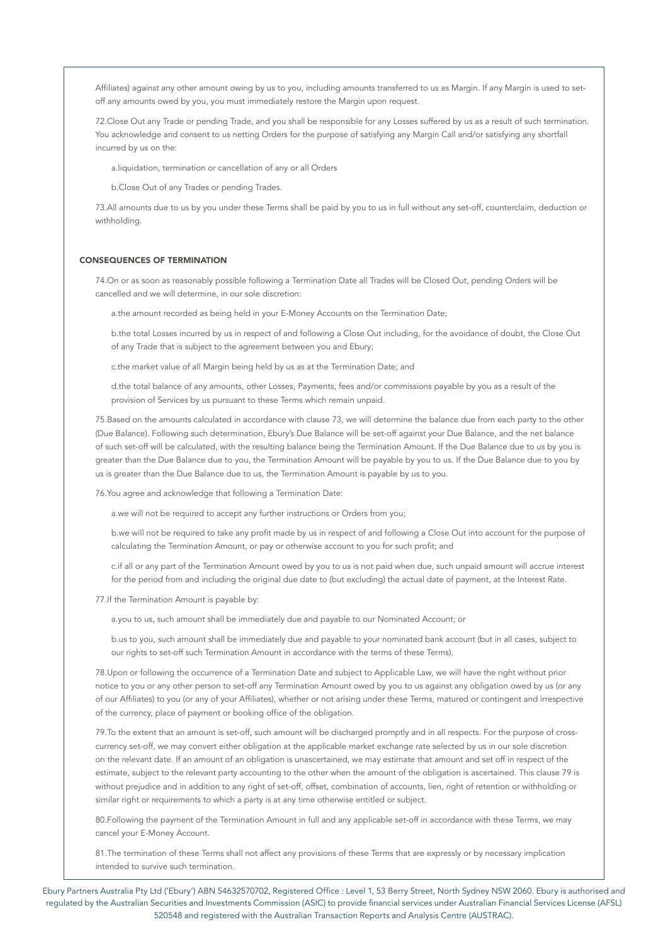Affiliates) against any other amount owing by us to you, including amounts transferred to us as Margin. If any Margin is used to setoff any amounts owed by you, you must immediately restore the Margin upon request.

72.Close Out any Trade or pending Trade, and you shall be responsible for any Losses suffered by us as a result of such termination. You acknowledge and consent to us netting Orders for the purpose of satisfying any Margin Call and/or satisfying any shortfall incurred by us on the:

a.liquidation, termination or cancellation of any or all Orders

b.Close Out of any Trades or pending Trades.

73.All amounts due to us by you under these Terms shall be paid by you to us in full without any set-off, counterclaim, deduction or withholding.

#### CONSEQUENCES OF TERMINATION

74.On or as soon as reasonably possible following a Termination Date all Trades will be Closed Out, pending Orders will be cancelled and we will determine, in our sole discretion:

a.the amount recorded as being held in your E-Money Accounts on the Termination Date;

b.the total Losses incurred by us in respect of and following a Close Out including, for the avoidance of doubt, the Close Out of any Trade that is subject to the agreement between you and Ebury;

c.the market value of all Margin being held by us as at the Termination Date; and

d.the total balance of any amounts, other Losses, Payments, fees and/or commissions payable by you as a result of the provision of Services by us pursuant to these Terms which remain unpaid.

75.Based on the amounts calculated in accordance with clause 73, we will determine the balance due from each party to the other (Due Balance). Following such determination, Ebury's Due Balance will be set-off against your Due Balance, and the net balance of such set-off will be calculated, with the resulting balance being the Termination Amount. If the Due Balance due to us by you is greater than the Due Balance due to you, the Termination Amount will be payable by you to us. If the Due Balance due to you by us is greater than the Due Balance due to us, the Termination Amount is payable by us to you.

76.You agree and acknowledge that following a Termination Date:

a.we will not be required to accept any further instructions or Orders from you;

b.we will not be required to take any profit made by us in respect of and following a Close Out into account for the purpose of calculating the Termination Amount, or pay or otherwise account to you for such profit; and

c.if all or any part of the Termination Amount owed by you to us is not paid when due, such unpaid amount will accrue interest for the period from and including the original due date to (but excluding) the actual date of payment, at the Interest Rate.

77.If the Termination Amount is payable by:

a.you to us, such amount shall be immediately due and payable to our Nominated Account; or

b.us to you, such amount shall be immediately due and payable to your nominated bank account (but in all cases, subject to our rights to set-off such Termination Amount in accordance with the terms of these Terms).

78.Upon or following the occurrence of a Termination Date and subject to Applicable Law, we will have the right without prior notice to you or any other person to set-off any Termination Amount owed by you to us against any obligation owed by us (or any of our Affiliates) to you (or any of your Affiliates), whether or not arising under these Terms, matured or contingent and irrespective of the currency, place of payment or booking office of the obligation.

79.To the extent that an amount is set-off, such amount will be discharged promptly and in all respects. For the purpose of crosscurrency set-off, we may convert either obligation at the applicable market exchange rate selected by us in our sole discretion on the relevant date. If an amount of an obligation is unascertained, we may estimate that amount and set off in respect of the estimate, subject to the relevant party accounting to the other when the amount of the obligation is ascertained. This clause 79 is without prejudice and in addition to any right of set-off, offset, combination of accounts, lien, right of retention or withholding or similar right or requirements to which a party is at any time otherwise entitled or subject.

80.Following the payment of the Termination Amount in full and any applicable set-off in accordance with these Terms, we may cancel your E-Money Account.

81. The termination of these Terms shall not affect any provisions of these Terms that are expressly or by necessary implication intended to survive such termination.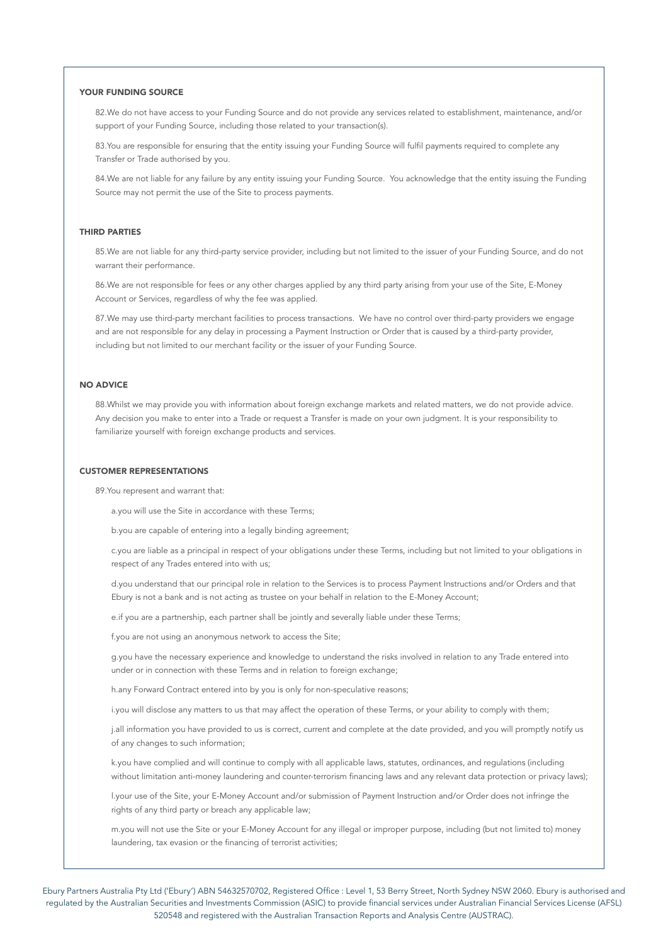# YOUR FUNDING SOURCE

82.We do not have access to your Funding Source and do not provide any services related to establishment, maintenance, and/or support of your Funding Source, including those related to your transaction(s).

83.You are responsible for ensuring that the entity issuing your Funding Source will fulfil payments required to complete any Transfer or Trade authorised by you.

84.We are not liable for any failure by any entity issuing your Funding Source. You acknowledge that the entity issuing the Funding Source may not permit the use of the Site to process payments.

# THIRD PARTIES

85.We are not liable for any third-party service provider, including but not limited to the issuer of your Funding Source, and do not warrant their performance.

86.We are not responsible for fees or any other charges applied by any third party arising from your use of the Site, E-Money Account or Services, regardless of why the fee was applied.

87.We may use third-party merchant facilities to process transactions. We have no control over third-party providers we engage and are not responsible for any delay in processing a Payment Instruction or Order that is caused by a third-party provider, including but not limited to our merchant facility or the issuer of your Funding Source.

### NO ADVICE

88.Whilst we may provide you with information about foreign exchange markets and related matters, we do not provide advice. Any decision you make to enter into a Trade or request a Transfer is made on your own judgment. It is your responsibility to familiarize yourself with foreign exchange products and services.

### CUSTOMER REPRESENTATIONS

89.You represent and warrant that:

a.you will use the Site in accordance with these Terms;

b.you are capable of entering into a legally binding agreement;

c.you are liable as a principal in respect of your obligations under these Terms, including but not limited to your obligations in respect of any Trades entered into with us;

d.you understand that our principal role in relation to the Services is to process Payment Instructions and/or Orders and that Ebury is not a bank and is not acting as trustee on your behalf in relation to the E-Money Account;

e.if you are a partnership, each partner shall be jointly and severally liable under these Terms;

f.you are not using an anonymous network to access the Site;

g.you have the necessary experience and knowledge to understand the risks involved in relation to any Trade entered into under or in connection with these Terms and in relation to foreign exchange;

h.any Forward Contract entered into by you is only for non-speculative reasons;

i.you will disclose any matters to us that may affect the operation of these Terms, or your ability to comply with them;

j.all information you have provided to us is correct, current and complete at the date provided, and you will promptly notify us of any changes to such information;

k.you have complied and will continue to comply with all applicable laws, statutes, ordinances, and regulations (including without limitation anti-money laundering and counter-terrorism financing laws and any relevant data protection or privacy laws);

l.your use of the Site, your E-Money Account and/or submission of Payment Instruction and/or Order does not infringe the rights of any third party or breach any applicable law;

m.you will not use the Site or your E-Money Account for any illegal or improper purpose, including (but not limited to) money laundering, tax evasion or the financing of terrorist activities;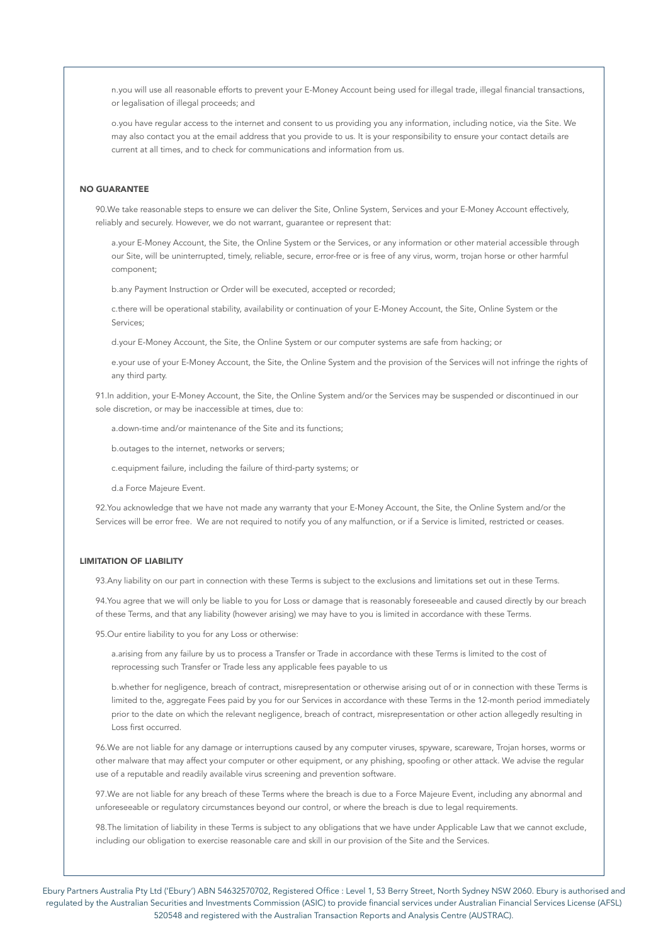n.you will use all reasonable efforts to prevent your E-Money Account being used for illegal trade, illegal financial transactions, or legalisation of illegal proceeds; and

o.you have regular access to the internet and consent to us providing you any information, including notice, via the Site. We may also contact you at the email address that you provide to us. It is your responsibility to ensure your contact details are current at all times, and to check for communications and information from us.

# NO GUARANTEE

90.We take reasonable steps to ensure we can deliver the Site, Online System, Services and your E-Money Account effectively, reliably and securely. However, we do not warrant, guarantee or represent that:

a.your E-Money Account, the Site, the Online System or the Services, or any information or other material accessible through our Site, will be uninterrupted, timely, reliable, secure, error-free or is free of any virus, worm, trojan horse or other harmful component;

b.any Payment Instruction or Order will be executed, accepted or recorded;

c.there will be operational stability, availability or continuation of your E-Money Account, the Site, Online System or the Services;

d.your E-Money Account, the Site, the Online System or our computer systems are safe from hacking; or

e.your use of your E-Money Account, the Site, the Online System and the provision of the Services will not infringe the rights of any third party.

91.In addition, your E-Money Account, the Site, the Online System and/or the Services may be suspended or discontinued in our sole discretion, or may be inaccessible at times, due to:

a.down-time and/or maintenance of the Site and its functions;

b.outages to the internet, networks or servers;

c.equipment failure, including the failure of third-party systems; or

d.a Force Majeure Event.

92.You acknowledge that we have not made any warranty that your E-Money Account, the Site, the Online System and/or the Services will be error free. We are not required to notify you of any malfunction, or if a Service is limited, restricted or ceases.

# LIMITATION OF LIABILITY

93.Any liability on our part in connection with these Terms is subject to the exclusions and limitations set out in these Terms.

94.You agree that we will only be liable to you for Loss or damage that is reasonably foreseeable and caused directly by our breach of these Terms, and that any liability (however arising) we may have to you is limited in accordance with these Terms.

95.Our entire liability to you for any Loss or otherwise:

a.arising from any failure by us to process a Transfer or Trade in accordance with these Terms is limited to the cost of reprocessing such Transfer or Trade less any applicable fees payable to us

b.whether for negligence, breach of contract, misrepresentation or otherwise arising out of or in connection with these Terms is limited to the, aggregate Fees paid by you for our Services in accordance with these Terms in the 12-month period immediately prior to the date on which the relevant negligence, breach of contract, misrepresentation or other action allegedly resulting in Loss first occurred.

96.We are not liable for any damage or interruptions caused by any computer viruses, spyware, scareware, Trojan horses, worms or other malware that may affect your computer or other equipment, or any phishing, spoofing or other attack. We advise the regular use of a reputable and readily available virus screening and prevention software.

97.We are not liable for any breach of these Terms where the breach is due to a Force Majeure Event, including any abnormal and unforeseeable or regulatory circumstances beyond our control, or where the breach is due to legal requirements.

98.The limitation of liability in these Terms is subject to any obligations that we have under Applicable Law that we cannot exclude, including our obligation to exercise reasonable care and skill in our provision of the Site and the Services.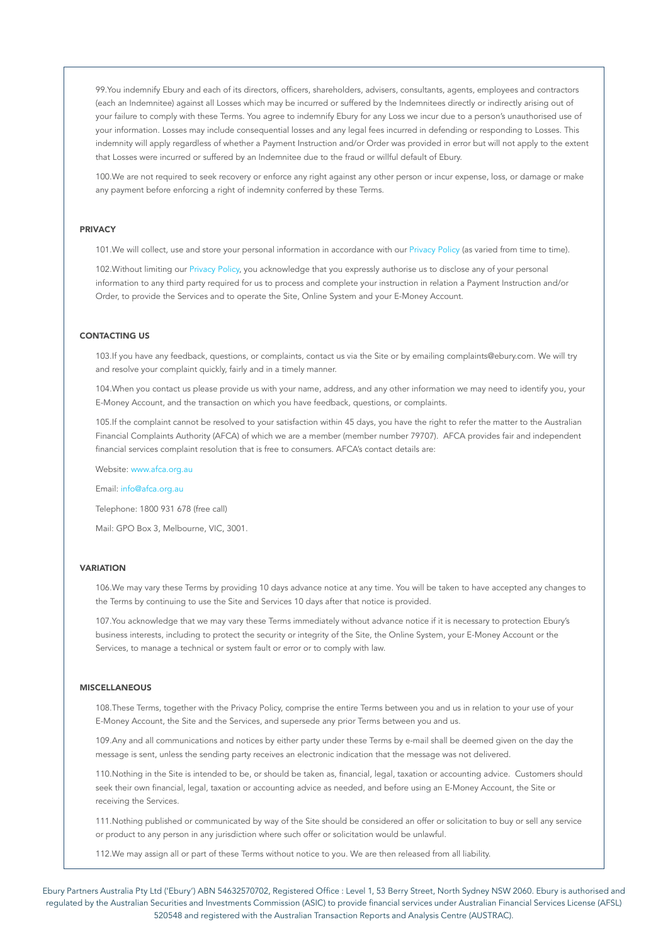99.You indemnify Ebury and each of its directors, officers, shareholders, advisers, consultants, agents, employees and contractors (each an Indemnitee) against all Losses which may be incurred or suffered by the Indemnitees directly or indirectly arising out of your failure to comply with these Terms. You agree to indemnify Ebury for any Loss we incur due to a person's unauthorised use of your information. Losses may include consequential losses and any legal fees incurred in defending or responding to Losses. This indemnity will apply regardless of whether a Payment Instruction and/or Order was provided in error but will not apply to the extent that Losses were incurred or suffered by an Indemnitee due to the fraud or willful default of Ebury.

100.We are not required to seek recovery or enforce any right against any other person or incur expense, loss, or damage or make any payment before enforcing a right of indemnity conferred by these Terms.

#### PRIVACY

101.We will collect, use and store your personal information in accordance with our Privacy Policy (as varied from time to time).

102.Without limiting our Privacy Policy, you acknowledge that you expressly authorise us to disclose any of your personal information to any third party required for us to process and complete your instruction in relation a Payment Instruction and/or Order, to provide the Services and to operate the Site, Online System and your E-Money Account.

### CONTACTING US

103.If you have any feedback, questions, or complaints, contact us via the Site or by emailing complaints@ebury.com. We will try and resolve your complaint quickly, fairly and in a timely manner.

104.When you contact us please provide us with your name, address, and any other information we may need to identify you, your E-Money Account, and the transaction on which you have feedback, questions, or complaints.

105.If the complaint cannot be resolved to your satisfaction within 45 days, you have the right to refer the matter to the Australian Financial Complaints Authority (AFCA) of which we are a member (member number 79707). AFCA provides fair and independent financial services complaint resolution that is free to consumers. AFCA's contact details are:

Website: www.afca.org.au

Email: info@afca.org.au

Telephone: 1800 931 678 (free call)

Mail: GPO Box 3, Melbourne, VIC, 3001.

### **VARIATION**

106.We may vary these Terms by providing 10 days advance notice at any time. You will be taken to have accepted any changes to the Terms by continuing to use the Site and Services 10 days after that notice is provided.

107.You acknowledge that we may vary these Terms immediately without advance notice if it is necessary to protection Ebury's business interests, including to protect the security or integrity of the Site, the Online System, your E-Money Account or the Services, to manage a technical or system fault or error or to comply with law.

### MISCELLANEOUS

108.These Terms, together with the Privacy Policy, comprise the entire Terms between you and us in relation to your use of your E-Money Account, the Site and the Services, and supersede any prior Terms between you and us.

109.Any and all communications and notices by either party under these Terms by e-mail shall be deemed given on the day the message is sent, unless the sending party receives an electronic indication that the message was not delivered.

110.Nothing in the Site is intended to be, or should be taken as, financial, legal, taxation or accounting advice. Customers should seek their own financial, legal, taxation or accounting advice as needed, and before using an E-Money Account, the Site or receiving the Services.

111.Nothing published or communicated by way of the Site should be considered an offer or solicitation to buy or sell any service or product to any person in any jurisdiction where such offer or solicitation would be unlawful.

112.We may assign all or part of these Terms without notice to you. We are then released from all liability.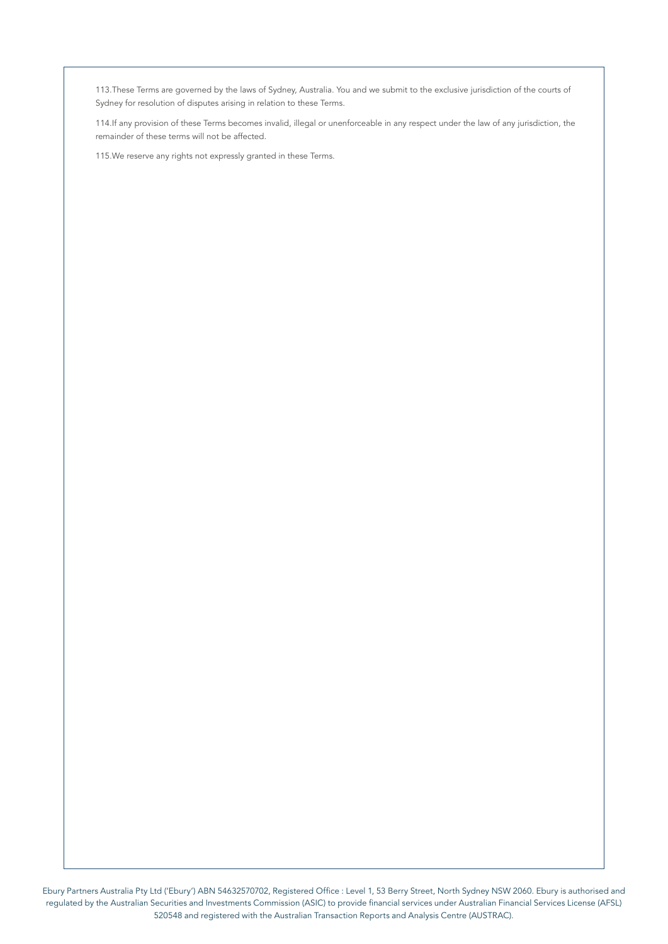113.These Terms are governed by the laws of Sydney, Australia. You and we submit to the exclusive jurisdiction of the courts of Sydney for resolution of disputes arising in relation to these Terms.

114.If any provision of these Terms becomes invalid, illegal or unenforceable in any respect under the law of any jurisdiction, the remainder of these terms will not be affected.

115.We reserve any rights not expressly granted in these Terms.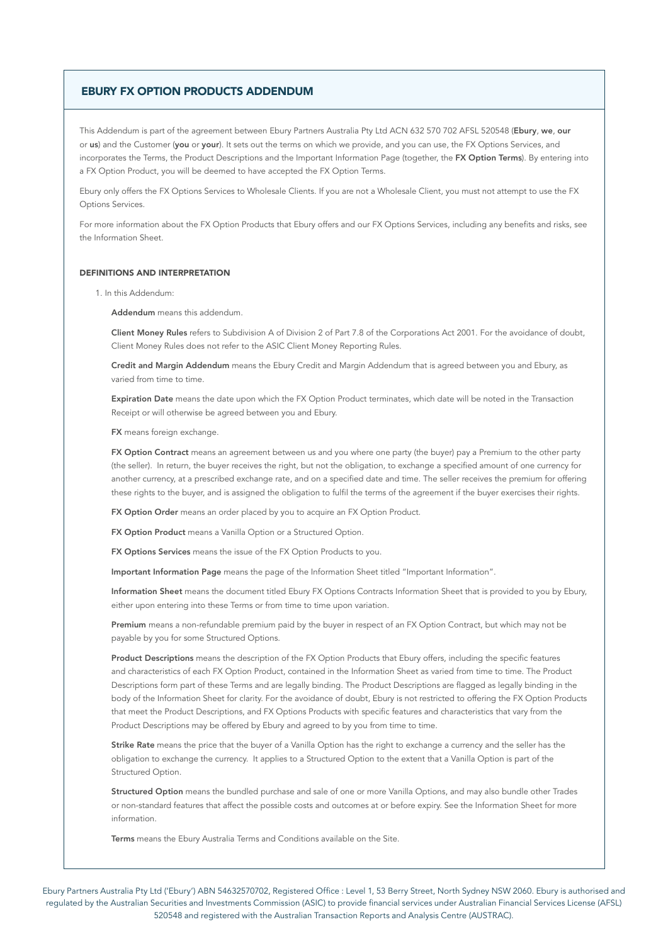# EBURY FX OPTION PRODUCTS ADDENDUM

This Addendum is part of the agreement between Ebury Partners Australia Pty Ltd ACN 632 570 702 AFSL 520548 (Ebury, we, our or us) and the Customer (you or your). It sets out the terms on which we provide, and you can use, the FX Options Services, and incorporates the Terms, the Product Descriptions and the Important Information Page (together, the FX Option Terms). By entering into a FX Option Product, you will be deemed to have accepted the FX Option Terms.

Ebury only offers the FX Options Services to Wholesale Clients. If you are not a Wholesale Client, you must not attempt to use the FX Options Services.

For more information about the FX Option Products that Ebury offers and our FX Options Services, including any benefits and risks, see the Information Sheet.

### DEFINITIONS AND INTERPRETATION

1. In this Addendum:

Addendum means this addendum.

Client Money Rules refers to Subdivision A of Division 2 of Part 7.8 of the Corporations Act 2001. For the avoidance of doubt, Client Money Rules does not refer to the ASIC Client Money Reporting Rules.

Credit and Margin Addendum means the Ebury Credit and Margin Addendum that is agreed between you and Ebury, as varied from time to time.

Expiration Date means the date upon which the FX Option Product terminates, which date will be noted in the Transaction Receipt or will otherwise be agreed between you and Ebury.

FX means foreign exchange.

FX Option Contract means an agreement between us and you where one party (the buyer) pay a Premium to the other party (the seller). In return, the buyer receives the right, but not the obligation, to exchange a specified amount of one currency for another currency, at a prescribed exchange rate, and on a specified date and time. The seller receives the premium for offering these rights to the buyer, and is assigned the obligation to fulfil the terms of the agreement if the buyer exercises their rights.

FX Option Order means an order placed by you to acquire an FX Option Product.

FX Option Product means a Vanilla Option or a Structured Option.

FX Options Services means the issue of the FX Option Products to you.

Important Information Page means the page of the Information Sheet titled "Important Information".

Information Sheet means the document titled Ebury FX Options Contracts Information Sheet that is provided to you by Ebury, either upon entering into these Terms or from time to time upon variation.

Premium means a non-refundable premium paid by the buyer in respect of an FX Option Contract, but which may not be payable by you for some Structured Options.

Product Descriptions means the description of the FX Option Products that Ebury offers, including the specific features and characteristics of each FX Option Product, contained in the Information Sheet as varied from time to time. The Product Descriptions form part of these Terms and are legally binding. The Product Descriptions are flagged as legally binding in the body of the Information Sheet for clarity. For the avoidance of doubt, Ebury is not restricted to offering the FX Option Products that meet the Product Descriptions, and FX Options Products with specific features and characteristics that vary from the Product Descriptions may be offered by Ebury and agreed to by you from time to time.

Strike Rate means the price that the buyer of a Vanilla Option has the right to exchange a currency and the seller has the obligation to exchange the currency. It applies to a Structured Option to the extent that a Vanilla Option is part of the Structured Option.

Structured Option means the bundled purchase and sale of one or more Vanilla Options, and may also bundle other Trades or non-standard features that affect the possible costs and outcomes at or before expiry. See the Information Sheet for more information.

Terms means the Ebury Australia Terms and Conditions available on the Site.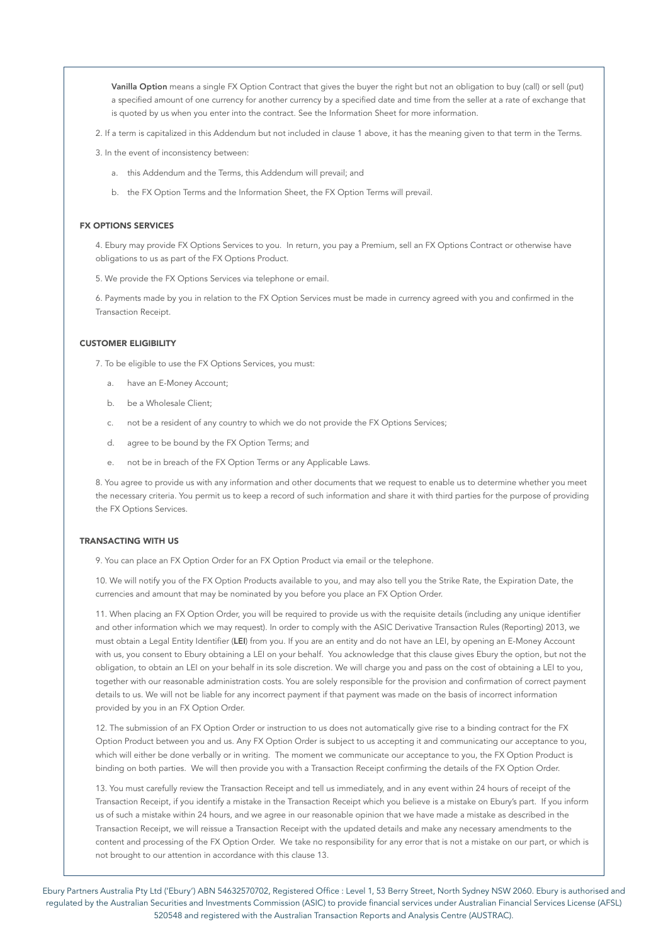Vanilla Option means a single FX Option Contract that gives the buyer the right but not an obligation to buy (call) or sell (put) a specified amount of one currency for another currency by a specified date and time from the seller at a rate of exchange that is quoted by us when you enter into the contract. See the Information Sheet for more information.

2. If a term is capitalized in this Addendum but not included in clause 1 above, it has the meaning given to that term in the Terms.

- 3. In the event of inconsistency between:
	- a. this Addendum and the Terms, this Addendum will prevail; and
	- b. the FX Option Terms and the Information Sheet, the FX Option Terms will prevail.

### FX OPTIONS SERVICES

4. Ebury may provide FX Options Services to you. In return, you pay a Premium, sell an FX Options Contract or otherwise have obligations to us as part of the FX Options Product.

5. We provide the FX Options Services via telephone or email.

6. Payments made by you in relation to the FX Option Services must be made in currency agreed with you and confirmed in the Transaction Receipt.

### CUSTOMER ELIGIBILITY

7. To be eligible to use the FX Options Services, you must:

- a. have an E-Money Account;
- b. be a Wholesale Client;
- c. not be a resident of any country to which we do not provide the FX Options Services;
- d. agree to be bound by the FX Option Terms; and
- e. not be in breach of the FX Option Terms or any Applicable Laws.

8. You agree to provide us with any information and other documents that we request to enable us to determine whether you meet the necessary criteria. You permit us to keep a record of such information and share it with third parties for the purpose of providing the FX Options Services.

# TRANSACTING WITH US

9. You can place an FX Option Order for an FX Option Product via email or the telephone.

10. We will notify you of the FX Option Products available to you, and may also tell you the Strike Rate, the Expiration Date, the currencies and amount that may be nominated by you before you place an FX Option Order.

11. When placing an FX Option Order, you will be required to provide us with the requisite details (including any unique identifier and other information which we may request). In order to comply with the ASIC Derivative Transaction Rules (Reporting) 2013, we must obtain a Legal Entity Identifier (LEI) from you. If you are an entity and do not have an LEI, by opening an E-Money Account with us, you consent to Ebury obtaining a LEI on your behalf. You acknowledge that this clause gives Ebury the option, but not the obligation, to obtain an LEI on your behalf in its sole discretion. We will charge you and pass on the cost of obtaining a LEI to you, together with our reasonable administration costs. You are solely responsible for the provision and confirmation of correct payment details to us. We will not be liable for any incorrect payment if that payment was made on the basis of incorrect information provided by you in an FX Option Order.

12. The submission of an FX Option Order or instruction to us does not automatically give rise to a binding contract for the FX Option Product between you and us. Any FX Option Order is subject to us accepting it and communicating our acceptance to you, which will either be done verbally or in writing. The moment we communicate our acceptance to you, the FX Option Product is binding on both parties. We will then provide you with a Transaction Receipt confirming the details of the FX Option Order.

13. You must carefully review the Transaction Receipt and tell us immediately, and in any event within 24 hours of receipt of the Transaction Receipt, if you identify a mistake in the Transaction Receipt which you believe is a mistake on Ebury's part. If you inform us of such a mistake within 24 hours, and we agree in our reasonable opinion that we have made a mistake as described in the Transaction Receipt, we will reissue a Transaction Receipt with the updated details and make any necessary amendments to the content and processing of the FX Option Order. We take no responsibility for any error that is not a mistake on our part, or which is not brought to our attention in accordance with this clause 13.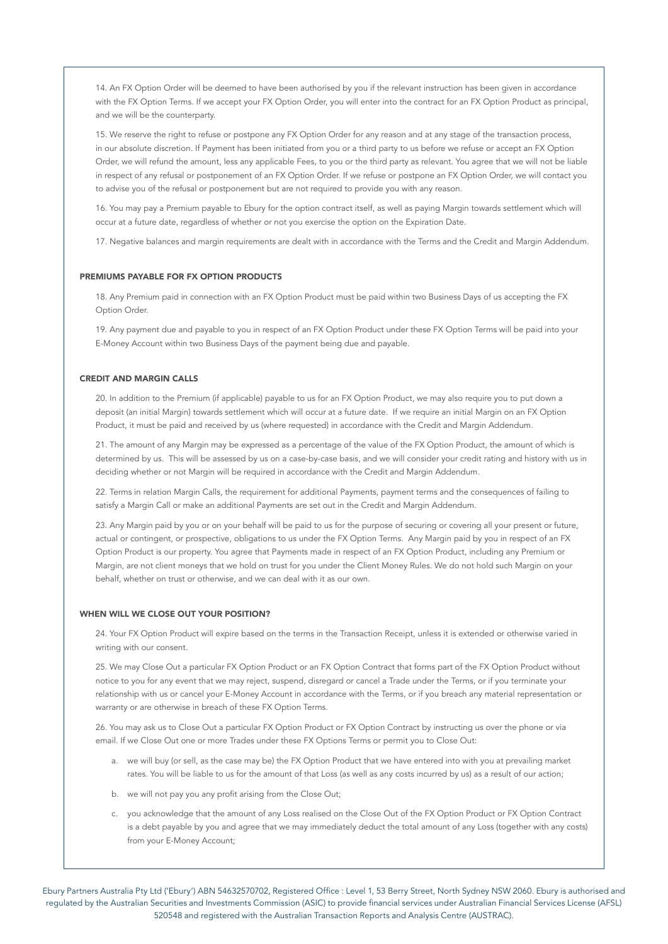14. An FX Option Order will be deemed to have been authorised by you if the relevant instruction has been given in accordance with the FX Option Terms. If we accept your FX Option Order, you will enter into the contract for an FX Option Product as principal, and we will be the counterparty.

15. We reserve the right to refuse or postpone any FX Option Order for any reason and at any stage of the transaction process, in our absolute discretion. If Payment has been initiated from you or a third party to us before we refuse or accept an FX Option Order, we will refund the amount, less any applicable Fees, to you or the third party as relevant. You agree that we will not be liable in respect of any refusal or postponement of an FX Option Order. If we refuse or postpone an FX Option Order, we will contact you to advise you of the refusal or postponement but are not required to provide you with any reason.

16. You may pay a Premium payable to Ebury for the option contract itself, as well as paying Margin towards settlement which will occur at a future date, regardless of whether or not you exercise the option on the Expiration Date.

17. Negative balances and margin requirements are dealt with in accordance with the Terms and the Credit and Margin Addendum.

### PREMIUMS PAYABLE FOR FX OPTION PRODUCTS

18. Any Premium paid in connection with an FX Option Product must be paid within two Business Days of us accepting the FX Option Order.

19. Any payment due and payable to you in respect of an FX Option Product under these FX Option Terms will be paid into your E-Money Account within two Business Days of the payment being due and payable.

### CREDIT AND MARGIN CALLS

20. In addition to the Premium (if applicable) payable to us for an FX Option Product, we may also require you to put down a deposit (an initial Margin) towards settlement which will occur at a future date. If we require an initial Margin on an FX Option Product, it must be paid and received by us (where requested) in accordance with the Credit and Margin Addendum.

21. The amount of any Margin may be expressed as a percentage of the value of the FX Option Product, the amount of which is determined by us. This will be assessed by us on a case-by-case basis, and we will consider your credit rating and history with us in deciding whether or not Margin will be required in accordance with the Credit and Margin Addendum.

22. Terms in relation Margin Calls, the requirement for additional Payments, payment terms and the consequences of failing to satisfy a Margin Call or make an additional Payments are set out in the Credit and Margin Addendum.

23. Any Margin paid by you or on your behalf will be paid to us for the purpose of securing or covering all your present or future, actual or contingent, or prospective, obligations to us under the FX Option Terms. Any Margin paid by you in respect of an FX Option Product is our property. You agree that Payments made in respect of an FX Option Product, including any Premium or Margin, are not client moneys that we hold on trust for you under the Client Money Rules. We do not hold such Margin on your behalf, whether on trust or otherwise, and we can deal with it as our own.

### WHEN WILL WE CLOSE OUT YOUR POSITION?

24. Your FX Option Product will expire based on the terms in the Transaction Receipt, unless it is extended or otherwise varied in writing with our consent.

25. We may Close Out a particular FX Option Product or an FX Option Contract that forms part of the FX Option Product without notice to you for any event that we may reject, suspend, disregard or cancel a Trade under the Terms, or if you terminate your relationship with us or cancel your E-Money Account in accordance with the Terms, or if you breach any material representation or warranty or are otherwise in breach of these FX Option Terms.

26. You may ask us to Close Out a particular FX Option Product or FX Option Contract by instructing us over the phone or via email. If we Close Out one or more Trades under these FX Options Terms or permit you to Close Out:

- a. we will buy (or sell, as the case may be) the FX Option Product that we have entered into with you at prevailing market rates. You will be liable to us for the amount of that Loss (as well as any costs incurred by us) as a result of our action;
- b. we will not pay you any profit arising from the Close Out;
- c. you acknowledge that the amount of any Loss realised on the Close Out of the FX Option Product or FX Option Contract is a debt payable by you and agree that we may immediately deduct the total amount of any Loss (together with any costs) from your E-Money Account;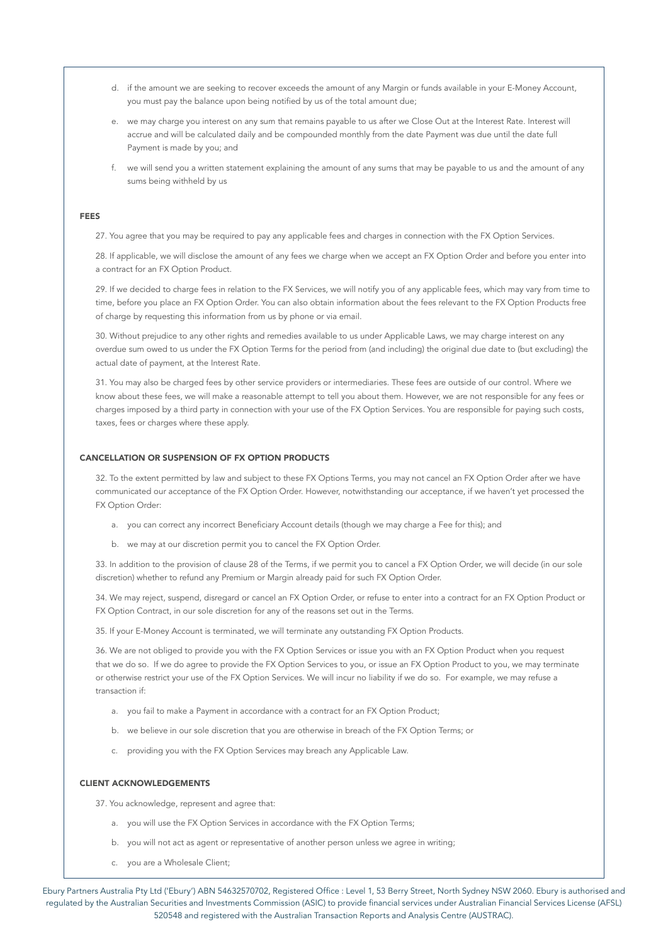- d. if the amount we are seeking to recover exceeds the amount of any Margin or funds available in your E-Money Account, you must pay the balance upon being notified by us of the total amount due;
- e. we may charge you interest on any sum that remains payable to us after we Close Out at the Interest Rate. Interest will accrue and will be calculated daily and be compounded monthly from the date Payment was due until the date full Payment is made by you; and
- f. we will send you a written statement explaining the amount of any sums that may be payable to us and the amount of any sums being withheld by us

#### FEES

27. You agree that you may be required to pay any applicable fees and charges in connection with the FX Option Services.

28. If applicable, we will disclose the amount of any fees we charge when we accept an FX Option Order and before you enter into a contract for an FX Option Product.

29. If we decided to charge fees in relation to the FX Services, we will notify you of any applicable fees, which may vary from time to time, before you place an FX Option Order. You can also obtain information about the fees relevant to the FX Option Products free of charge by requesting this information from us by phone or via email.

30. Without prejudice to any other rights and remedies available to us under Applicable Laws, we may charge interest on any overdue sum owed to us under the FX Option Terms for the period from (and including) the original due date to (but excluding) the actual date of payment, at the Interest Rate.

31. You may also be charged fees by other service providers or intermediaries. These fees are outside of our control. Where we know about these fees, we will make a reasonable attempt to tell you about them. However, we are not responsible for any fees or charges imposed by a third party in connection with your use of the FX Option Services. You are responsible for paying such costs, taxes, fees or charges where these apply.

### CANCELLATION OR SUSPENSION OF FX OPTION PRODUCTS

32. To the extent permitted by law and subject to these FX Options Terms, you may not cancel an FX Option Order after we have communicated our acceptance of the FX Option Order. However, notwithstanding our acceptance, if we haven't yet processed the FX Option Order:

- a. you can correct any incorrect Beneficiary Account details (though we may charge a Fee for this); and
- b. we may at our discretion permit you to cancel the FX Option Order.

33. In addition to the provision of clause 28 of the Terms, if we permit you to cancel a FX Option Order, we will decide (in our sole discretion) whether to refund any Premium or Margin already paid for such FX Option Order.

34. We may reject, suspend, disregard or cancel an FX Option Order, or refuse to enter into a contract for an FX Option Product or FX Option Contract, in our sole discretion for any of the reasons set out in the Terms.

35. If your E-Money Account is terminated, we will terminate any outstanding FX Option Products.

36. We are not obliged to provide you with the FX Option Services or issue you with an FX Option Product when you request that we do so. If we do agree to provide the FX Option Services to you, or issue an FX Option Product to you, we may terminate or otherwise restrict your use of the FX Option Services. We will incur no liability if we do so. For example, we may refuse a transaction if:

- a. you fail to make a Payment in accordance with a contract for an FX Option Product;
- b. we believe in our sole discretion that you are otherwise in breach of the FX Option Terms; or
- c. providing you with the FX Option Services may breach any Applicable Law.

### CLIENT ACKNOWLEDGEMENTS

37. You acknowledge, represent and agree that:

- a. you will use the FX Option Services in accordance with the FX Option Terms;
- b. you will not act as agent or representative of another person unless we agree in writing;
- c. you are a Wholesale Client;